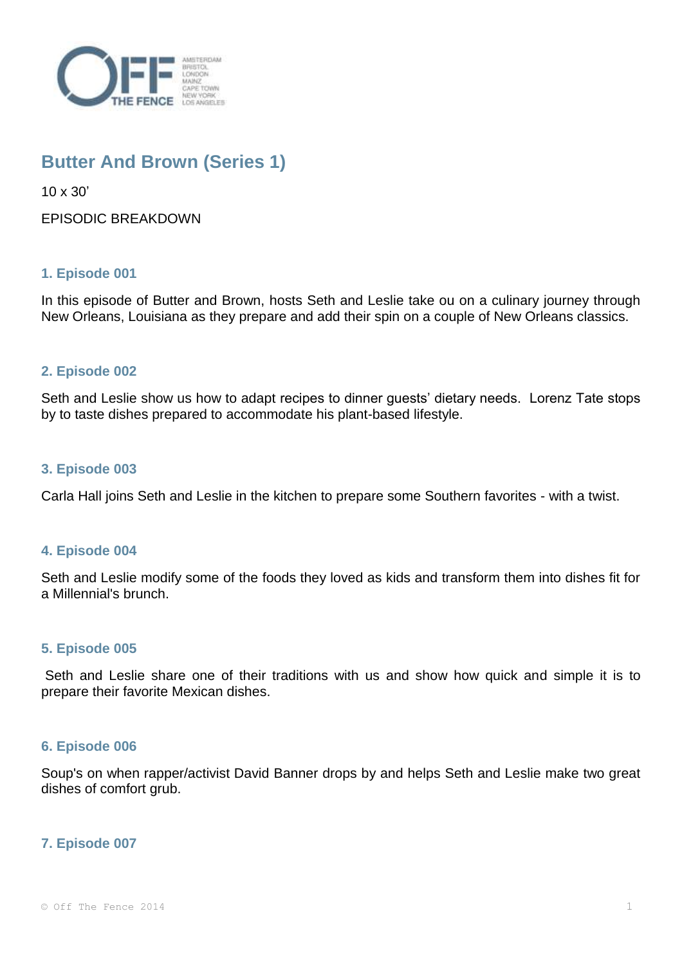

# **Butter And Brown (Series 1)**

10 x 30'

EPISODIC BREAKDOWN

# **1. Episode 001**

In this episode of Butter and Brown, hosts Seth and Leslie take ou on a culinary journey through New Orleans, Louisiana as they prepare and add their spin on a couple of New Orleans classics.

# **2. Episode 002**

Seth and Leslie show us how to adapt recipes to dinner guests' dietary needs. Lorenz Tate stops by to taste dishes prepared to accommodate his plant-based lifestyle.

## **3. Episode 003**

Carla Hall joins Seth and Leslie in the kitchen to prepare some Southern favorites - with a twist.

## **4. Episode 004**

Seth and Leslie modify some of the foods they loved as kids and transform them into dishes fit for a Millennial's brunch.

## **5. Episode 005**

Seth and Leslie share one of their traditions with us and show how quick and simple it is to prepare their favorite Mexican dishes.

## **6. Episode 006**

Soup's on when rapper/activist David Banner drops by and helps Seth and Leslie make two great dishes of comfort grub.

## **7. Episode 007**